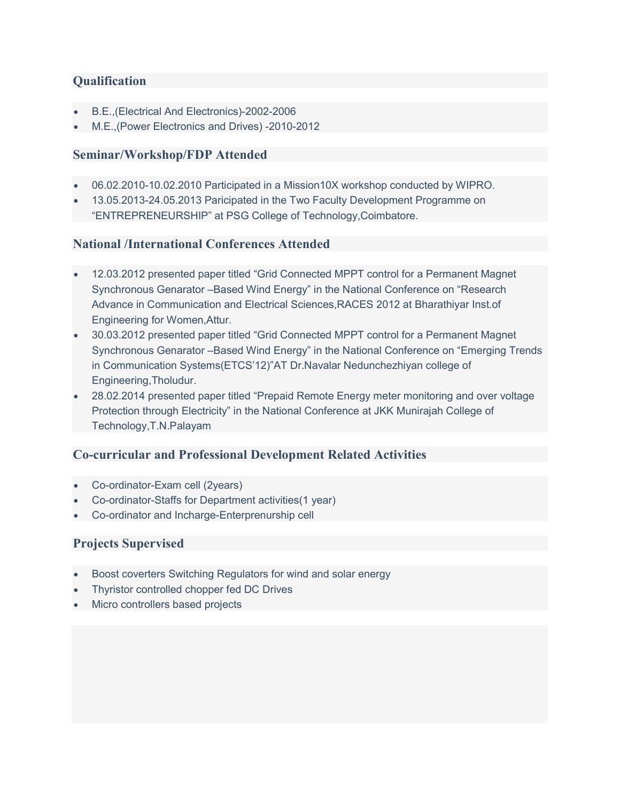# **Qualification**

- B.E.,(Electrical And Electronics)-2002-2006
- M.E.,(Power Electronics and Drives) -2010-2012

### Seminar/Workshop/FDP Attended

- 06.02.2010-10.02.2010 Participated in a Mission10X workshop conducted by WIPRO.
- 13.05.2013-24.05.2013 Paricipated in the Two Faculty Development Programme on "ENTREPRENEURSHIP" at PSG College of Technology,Coimbatore.

#### National /International Conferences Attended

- 12.03.2012 presented paper titled "Grid Connected MPPT control for a Permanent Magnet Synchronous Genarator –Based Wind Energy" in the National Conference on "Research Advance in Communication and Electrical Sciences,RACES 2012 at Bharathiyar Inst.of Engineering for Women,Attur.
- 30.03.2012 presented paper titled "Grid Connected MPPT control for a Permanent Magnet Synchronous Genarator –Based Wind Energy" in the National Conference on "Emerging Trends in Communication Systems(ETCS'12)"AT Dr.Navalar Nedunchezhiyan college of Engineering,Tholudur.
- 28.02.2014 presented paper titled "Prepaid Remote Energy meter monitoring and over voltage Protection through Electricity" in the National Conference at JKK Munirajah College of Technology,T.N.Palayam

## Co-curricular and Professional Development Related Activities

- Co-ordinator-Exam cell (2years)
- Co-ordinator-Staffs for Department activities(1 year)
- Co-ordinator and Incharge-Enterprenurship cell

#### Projects Supervised

- Boost coverters Switching Regulators for wind and solar energy
- Thyristor controlled chopper fed DC Drives
- Micro controllers based projects